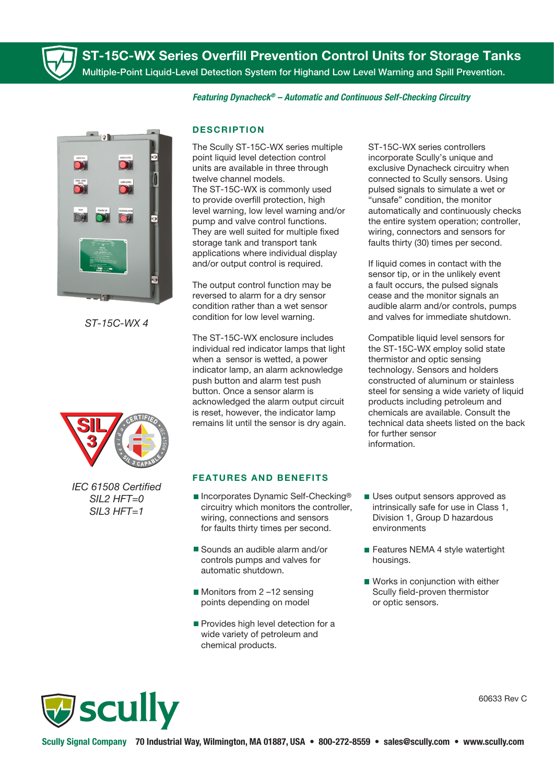

ST-15C-WX Series Overfill Prevention Control Units for Storage Tanks Multiple-Point Liquid-Level Detection System for Highand Low Level Warning and Spill Prevention.

*Featuring Dynacheck® – Automatic and Continuous Self-Checking Circuitry* 



*ST-15C-WX 4*



*IEC 61508 Certied SIL2 HFT=0 SIL3 HFT=1*

## **DESCRIPTION**

The Scully ST-15C-WX series multiple point liquid level detection control units are available in three through twelve channel models. The ST-15C-WX is commonly used to provide overfill protection, high level warning, low level warning and/or pump and valve control functions. They are well suited for multiple fixed storage tank and transport tank applications where individual display and/or output control is required.

The output control function may be reversed to alarm for a dry sensor condition rather than a wet sensor condition for low level warning.

The ST-15C-WX enclosure includes individual red indicator lamps that light when a sensor is wetted, a power indicator lamp, an alarm acknowledge push button and alarm test push button. Once a sensor alarm is acknowledged the alarm output circuit is reset, however, the indicator lamp remains lit until the sensor is dry again.

## FEATURES AND BENEFITS

- Incorporates Dynamic Self-Checking<sup>®</sup> circuitry which monitors the controller, wiring, connections and sensors for faults thirty times per second.
- Sounds an audible alarm and/or controls pumps and valves for automatic shutdown.
- Monitors from 2-12 sensing points depending on model
- Provides high level detection for a wide variety of petroleum and chemical products.

ST-15C-WX series controllers incorporate Scully's unique and exclusive Dynacheck circuitry when connected to Scully sensors. Using pulsed signals to simulate a wet or "unsafe" condition, the monitor automatically and continuously checks the entire system operation; controller, wiring, connectors and sensors for faults thirty (30) times per second.

If liquid comes in contact with the sensor tip, or in the unlikely event a fault occurs, the pulsed signals cease and the monitor signals an audible alarm and/or controls, pumps and valves for immediate shutdown.

Compatible liquid level sensors for the ST-15C-WX employ solid state thermistor and optic sensing technology. Sensors and holders constructed of aluminum or stainless steel for sensing a wide variety of liquid products including petroleum and chemicals are available. Consult the technical data sheets listed on the back for further sensor information.

- Uses output sensors approved as intrinsically safe for use in Class 1, Division 1, Group D hazardous environments
- Features NEMA 4 style watertight housings.
- Works in conjunction with either Scully field-proven thermistor or optic sensors.



60633 Rev C